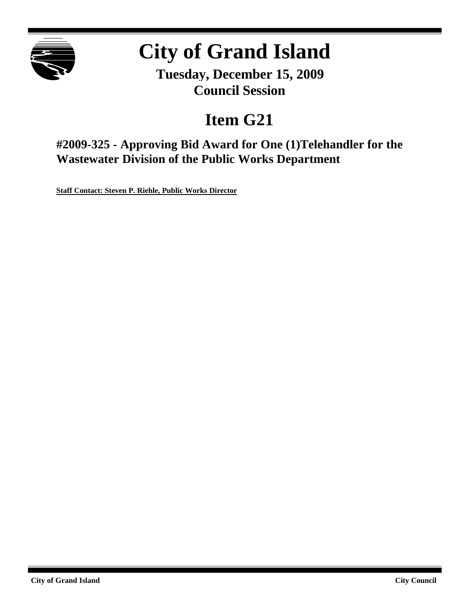

# **City of Grand Island**

**Tuesday, December 15, 2009 Council Session**

# **Item G21**

**#2009-325 - Approving Bid Award for One (1)Telehandler for the Wastewater Division of the Public Works Department**

**Staff Contact: Steven P. Riehle, Public Works Director**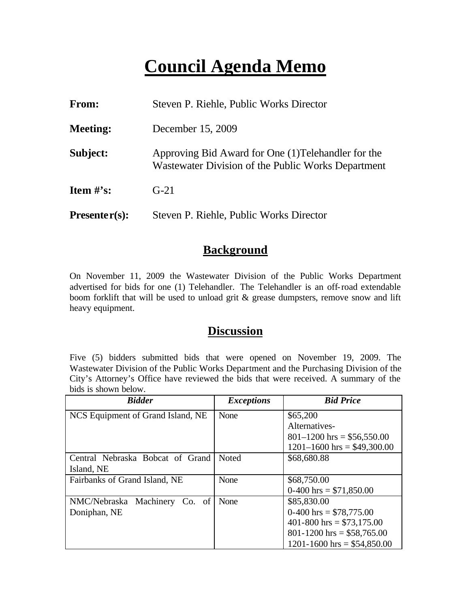# **Council Agenda Memo**

| From:           | Steven P. Riehle, Public Works Director                                                                   |
|-----------------|-----------------------------------------------------------------------------------------------------------|
| <b>Meeting:</b> | December 15, 2009                                                                                         |
| Subject:        | Approving Bid Award for One (1) Telehandler for the<br>Wastewater Division of the Public Works Department |
| Item $#$ 's:    | $G-21$                                                                                                    |
| $Presenter(s):$ | Steven P. Riehle, Public Works Director                                                                   |

#### **Background**

On November 11, 2009 the Wastewater Division of the Public Works Department advertised for bids for one (1) Telehandler. The Telehandler is an off-road extendable boom forklift that will be used to unload grit & grease dumpsters, remove snow and lift heavy equipment.

### **Discussion**

Five (5) bidders submitted bids that were opened on November 19, 2009. The Wastewater Division of the Public Works Department and the Purchasing Division of the City's Attorney's Office have reviewed the bids that were received. A summary of the bids is shown below.

| <b>Bidder</b>                     | <b>Exceptions</b> | <b>Bid Price</b>                |  |
|-----------------------------------|-------------------|---------------------------------|--|
| NCS Equipment of Grand Island, NE | None              | \$65,200                        |  |
|                                   |                   | Alternatives-                   |  |
|                                   |                   | $801-1200$ hrs = \$56,550.00    |  |
|                                   |                   | $1201 - 1600$ hrs = \$49,300.00 |  |
| Central Nebraska Bobcat of Grand  | <b>Noted</b>      | \$68,680.88                     |  |
| Island, NE                        |                   |                                 |  |
| Fairbanks of Grand Island, NE     | None              | \$68,750.00                     |  |
|                                   |                   | $0-400$ hrs = \$71,850.00       |  |
| NMC/Nebraska Machinery<br>Co. of  | None              | \$85,830.00                     |  |
| Doniphan, NE                      |                   | $0-400$ hrs = \$78,775.00       |  |
|                                   |                   | 401-800 hrs = $$73,175.00$      |  |
|                                   |                   | $801 - 1200$ hrs = \$58,765.00  |  |
|                                   |                   | $1201 - 1600$ hrs = \$54,850.00 |  |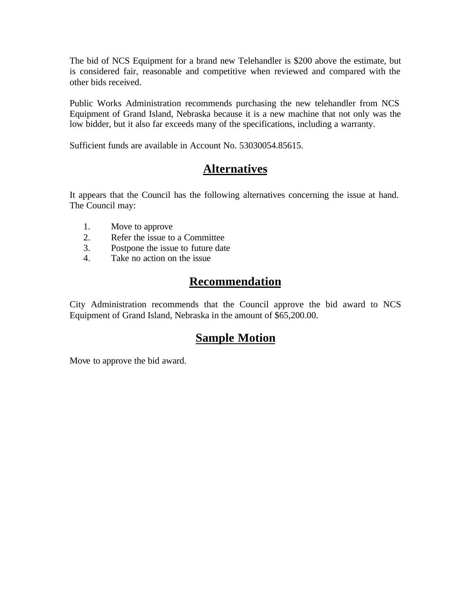The bid of NCS Equipment for a brand new Telehandler is \$200 above the estimate, but is considered fair, reasonable and competitive when reviewed and compared with the other bids received.

Public Works Administration recommends purchasing the new telehandler from NCS Equipment of Grand Island, Nebraska because it is a new machine that not only was the low bidder, but it also far exceeds many of the specifications, including a warranty.

Sufficient funds are available in Account No. 53030054.85615.

## **Alternatives**

It appears that the Council has the following alternatives concerning the issue at hand. The Council may:

- 1. Move to approve
- 2. Refer the issue to a Committee
- 3. Postpone the issue to future date
- 4. Take no action on the issue

### **Recommendation**

City Administration recommends that the Council approve the bid award to NCS Equipment of Grand Island, Nebraska in the amount of \$65,200.00.

## **Sample Motion**

Move to approve the bid award.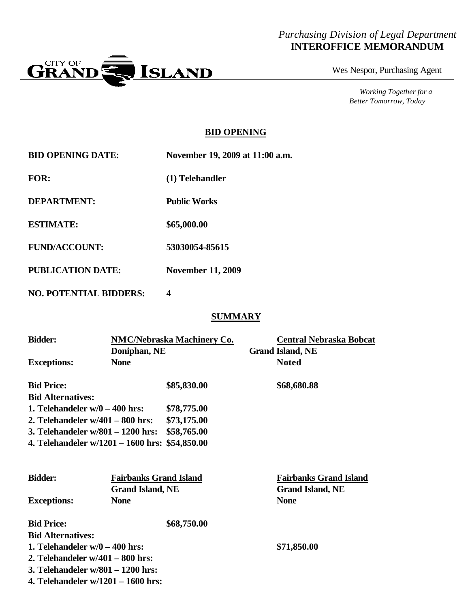#### *Purchasing Division of Legal Department* **INTEROFFICE MEMORANDUM**



Wes Nespor, Purchasing Agent

*Working Together for a Better Tomorrow, Today*

#### **BID OPENING**

| <b>BID OPENING DATE:</b> | November 19, 2009 at 11:00 a.m. |  |  |  |
|--------------------------|---------------------------------|--|--|--|
| <b>FOR:</b>              | (1) Telehandler                 |  |  |  |
| <b>DEPARTMENT:</b>       | <b>Public Works</b>             |  |  |  |
| <b>ESTIMATE:</b>         | \$65,000.00                     |  |  |  |
| <b>FUND/ACCOUNT:</b>     | 53030054-85615                  |  |  |  |
| <b>PUBLICATION DATE:</b> | <b>November 11, 2009</b>        |  |  |  |

**NO. POTENTIAL BIDDERS: 4**

#### **SUMMARY**

| <b>Bidder:</b>                                 | <b>NMC/Nebraska Machinery Co.</b><br>Doniphan, NE |             |  | <b>Central Nebraska Bobcat</b><br><b>Grand Island, NE</b> |
|------------------------------------------------|---------------------------------------------------|-------------|--|-----------------------------------------------------------|
|                                                |                                                   |             |  |                                                           |
| <b>Exceptions:</b>                             | <b>None</b>                                       |             |  | <b>Noted</b>                                              |
| <b>Bid Price:</b>                              |                                                   | \$85,830.00 |  | \$68,680.88                                               |
| <b>Bid Alternatives:</b>                       |                                                   |             |  |                                                           |
| 1. Telehandeler $w/0 - 400$ hrs:               |                                                   | \$78,775.00 |  |                                                           |
| 2. Telehandeler $w/401 - 800$ hrs:             |                                                   | \$73,175.00 |  |                                                           |
| 3. Telehandeler $w/801 - 1200$ hrs:            |                                                   | \$58,765.00 |  |                                                           |
| 4. Telehandeler w/1201 – 1600 hrs: \$54,850.00 |                                                   |             |  |                                                           |
|                                                |                                                   |             |  |                                                           |
| <b>Bidder:</b>                                 | <b>Fairbanks Grand Island</b>                     |             |  | <b>Fairbanks Grand Island</b>                             |
|                                                | <b>Grand Island, NE</b>                           |             |  | <b>Grand Island, NE</b>                                   |
| <b>Exceptions:</b>                             | <b>None</b>                                       |             |  | <b>None</b>                                               |
| <b>Bid Price:</b>                              |                                                   | \$68,750.00 |  |                                                           |
| <b>Bid Alternatives:</b>                       |                                                   |             |  |                                                           |
| 1. Telehandeler $w/0 - 400$ hrs:               |                                                   |             |  | \$71,850.00                                               |
| 2. Telehandeler $w/401 - 800$ hrs:             |                                                   |             |  |                                                           |
| 3. Telehandeler $w/801 - 1200$ hrs:            |                                                   |             |  |                                                           |
| 4. Telehandeler $w/1201 - 1600$ hrs:           |                                                   |             |  |                                                           |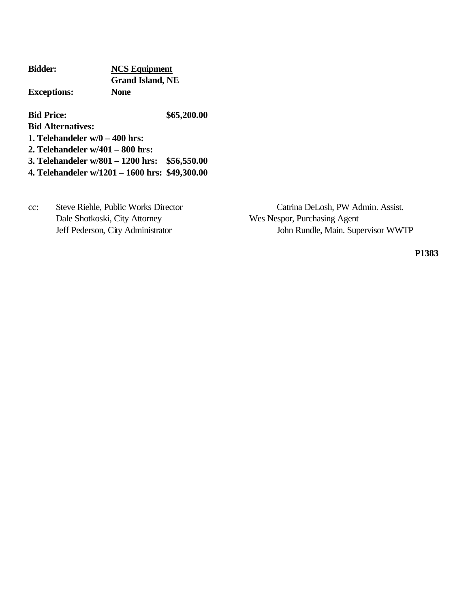| <b>Bidder:</b>                     | <b>NCS Equipment</b>    |  |  |
|------------------------------------|-------------------------|--|--|
|                                    | <b>Grand Island, NE</b> |  |  |
| <b>Exceptions:</b>                 | <b>None</b>             |  |  |
| <b>Bid Price:</b>                  | \$65,200.00             |  |  |
| <b>Bid Alternatives:</b>           |                         |  |  |
| 1. Telehandeler $w/0 = 400$ hrs:   |                         |  |  |
| 2. Telehandeler $w/401 - 800$ hrs: |                         |  |  |

**3. Telehandeler w/801 – 1200 hrs: \$56,550.00**

**4. Telehandeler w/1201 – 1600 hrs: \$49,300.00**

Dale Shotkoski, City Attorney Wes Nespor, Purchasing Agent

cc: Steve Riehle, Public Works Director Catrina DeLosh, PW Admin. Assist. Jeff Pederson, City Administrator John Rundle, Main. Supervisor WWTP

**P1383**